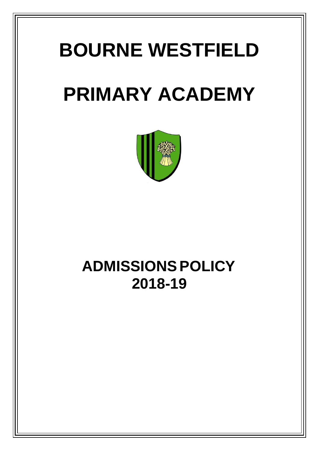# **BOURNE WESTFIELD**

# **PRIMARY ACADEMY**



## **ADMISSIONS POLICY 2018-19**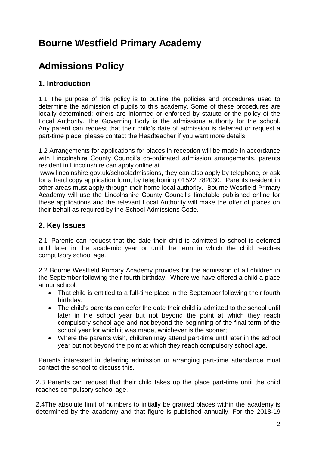### **Bourne Westfield Primary Academy**

### **Admissions Policy**

#### **1. Introduction**

1.1 The purpose of this policy is to outline the policies and procedures used to determine the admission of pupils to this academy. Some of these procedures are locally determined; others are informed or enforced by statute or the policy of the Local Authority. The Governing Body is the admissions authority for the school. Any parent can request that their child's date of admission is deferred or request a part-time place, please contact the Headteacher if you want more details.

1.2 Arrangements for applications for places in reception will be made in accordance with Lincolnshire County Council's co-ordinated admission arrangements, parents resident in Lincolnshire can apply online at

[www.lincolnshire.gov.uk/schooladmissions,](http://www.lincolnshire.gov.uk/schooladmissions) they can also apply by telephone, or ask for a hard copy application form, by telephoning 01522 782030. Parents resident in other areas must apply through their home local authority. Bourne Westfield Primary Academy will use the Lincolnshire County Council's timetable published online for these applications and the relevant Local Authority will make the offer of places on their behalf as required by the School Admissions Code.

#### **2. Key Issues**

2.1 Parents can request that the date their child is admitted to school is deferred until later in the academic year or until the term in which the child reaches compulsory school age.

2.2 Bourne Westfield Primary Academy provides for the admission of all children in the September following their fourth birthday. Where we have offered a child a place at our school:

- That child is entitled to a full-time place in the September following their fourth birthday.
- The child's parents can defer the date their child is admitted to the school until later in the school year but not beyond the point at which they reach compulsory school age and not beyond the beginning of the final term of the school year for which it was made, whichever is the sooner;
- Where the parents wish, children may attend part-time until later in the school year but not beyond the point at which they reach compulsory school age.

Parents interested in deferring admission or arranging part-time attendance must contact the school to discuss this.

2.3 Parents can request that their child takes up the place part-time until the child reaches compulsory school age.

2.4The absolute limit of numbers to initially be granted places within the academy is determined by the academy and that figure is published annually. For the 2018-19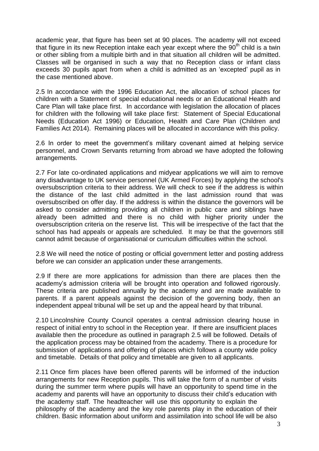academic year, that figure has been set at 90 places. The academy will not exceed that figure in its new Reception intake each year except where the  $90<sup>th</sup>$  child is a twin or other sibling from a multiple birth and in that situation all children will be admitted. Classes will be organised in such a way that no Reception class or infant class exceeds 30 pupils apart from when a child is admitted as an 'excepted' pupil as in the case mentioned above.

2.5 In accordance with the 1996 Education Act, the allocation of school places for children with a Statement of special educational needs or an Educational Health and Care Plan will take place first. In accordance with legislation the allocation of places for children with the following will take place first: Statement of Special Educational Needs (Education Act 1996) or Education, Health and Care Plan (Children and Families Act 2014). Remaining places will be allocated in accordance with this policy.

2.6 In order to meet the government's military covenant aimed at helping service personnel, and Crown Servants returning from abroad we have adopted the following arrangements.

2.7 For late co-ordinated applications and midyear applications we will aim to remove any disadvantage to UK service personnel (UK Armed Forces) by applying the school's oversubscription criteria to their address. We will check to see if the address is within the distance of the last child admitted in the last admission round that was oversubscribed on offer day. If the address is within the distance the governors will be asked to consider admitting providing all children in public care and siblings have already been admitted and there is no child with higher priority under the oversubscription criteria on the reserve list. This will be irrespective of the fact that the school has had appeals or appeals are scheduled. It may be that the governors still cannot admit because of organisational or curriculum difficulties within the school.

2.8 We will need the notice of posting or official government letter and posting address before we can consider an application under these arrangements.

2.9 If there are more applications for admission than there are places then the academy's admission criteria will be brought into operation and followed rigorously. These criteria are published annually by the academy and are made available to parents. If a parent appeals against the decision of the governing body, then an independent appeal tribunal will be set up and the appeal heard by that tribunal.

2.10 Lincolnshire County Council operates a central admission clearing house in respect of initial entry to school in the Reception year. If there are insufficient places available then the procedure as outlined in paragraph 2.5 will be followed. Details of the application process may be obtained from the academy. There is a procedure for submission of applications and offering of places which follows a county wide policy and timetable. Details of that policy and timetable are given to all applicants.

2.11 Once firm places have been offered parents will be informed of the induction arrangements for new Reception pupils. This will take the form of a number of visits during the summer term where pupils will have an opportunity to spend time in the academy and parents will have an opportunity to discuss their child's education with the academy staff. The headteacher will use this opportunity to explain the philosophy of the academy and the key role parents play in the education of their children. Basic information about uniform and assimilation into school life will be also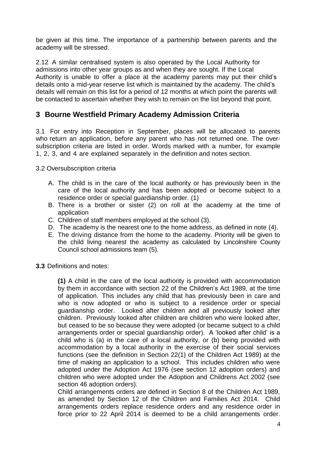be given at this time. The importance of a partnership between parents and the academy will be stressed.

2.12 A similar centralised system is also operated by the Local Authority for admissions into other year groups as and when they are sought. If the Local Authority is unable to offer a place at the academy parents may put their child's details onto a mid-year reserve list which is maintained by the academy. The child's details will remain on this list for a period of 12 months at which point the parents will be contacted to ascertain whether they wish to remain on the list beyond that point.

#### **3 Bourne Westfield Primary Academy Admission Criteria**

3.1 For entry into Reception in September, places will be allocated to parents who return an application, before any parent who has not returned one. The oversubscription criteria are listed in order. Words marked with a number, for example 1, 2, 3, and 4 are explained separately in the definition and notes section.

3.2 Oversubscription criteria

- A. The child is in the care of the local authority or has previously been in the care of the local authority and has been adopted or become subject to a residence order or special guardianship order. (1)
- B. There is a brother or sister (2) on roll at the academy at the time of application
- C. Children of staff members employed at the school (3).
- D. The academy is the nearest one to the home address, as defined in note (4).
- E. The driving distance from the home to the academy. Priority will be given to the child living nearest the academy as calculated by Lincolnshire County Council school admissions team (5).
- **3.3** Definitions and notes:

**(1)** A child in the care of the local authority is provided with accommodation by them in accordance with section 22 of the Children's Act 1989, at the time of application. This includes any child that has previously been in care and who is now adopted or who is subject to a residence order or special guardianship order. Looked after children and all previously looked after children. Previously looked after children are children who were looked after, but ceased to be so because they were adopted (or became subject to a child arrangements order or special guardianship order). A 'looked after child' is a child who is (a) in the care of a local authority, or (b) being provided with accommodation by a local authority in the exercise of their social services functions (see the definition in Section 22(1) of the Children Act 1989) at the time of making an application to a school. This includes children who were adopted under the Adoption Act 1976 (see section 12 adoption orders) and children who were adopted under the Adoption and Childrens Act 2002 (see section 46 adoption orders).

Child arrangements orders are defined in Section 8 of the Children Act 1989, as amended by Section 12 of the Children and Families Act 2014. Child arrangements orders replace residence orders and any residence order in force prior to 22 April 2014 is deemed to be a child arrangements order.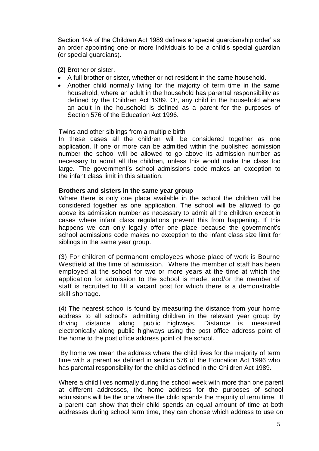Section 14A of the Children Act 1989 defines a 'special guardianship order' as an order appointing one or more individuals to be a child's special guardian (or special guardians).

**(2)** Brother or sister.

- A full brother or sister, whether or not resident in the same household.
- Another child normally living for the majority of term time in the same household, where an adult in the household has parental responsibility as defined by the Children Act 1989. Or, any child in the household where an adult in the household is defined as a parent for the purposes of Section 576 of the Education Act 1996.

#### Twins and other siblings from a multiple birth

In these cases all the children will be considered together as one application. If one or more can be admitted within the published admission number the school will be allowed to go above its admission number as necessary to admit all the children, unless this would make the class too large. The government's school admissions code makes an exception to the infant class limit in this situation.

#### **Brothers and sisters in the same year group**

Where there is only one place available in the school the children will be considered together as one application. The school will be allowed to go above its admission number as necessary to admit all the children except in cases where infant class regulations prevent this from happening. If this happens we can only legally offer one place because the government's school admissions code makes no exception to the infant class size limit for siblings in the same year group.

(3) For children of permanent employees whose place of work is Bourne Westfield at the time of admission. Where the member of staff has been employed at the school for two or more years at the time at which the application for admission to the school is made, and/or the member of staff is recruited to fill a vacant post for which there is a demonstrable skill shortage.

(4) The nearest school is found by measuring the distance from your home address to all school's admitting children in the relevant year group by driving distance along public highways. Distance is measured electronically along public highways using the post office address point of the home to the post office address point of the school.

By home we mean the address where the child lives for the majority of term time with a parent as defined in section 576 of the Education Act 1996 who has parental responsibility for the child as defined in the Children Act 1989.

Where a child lives normally during the school week with more than one parent at different addresses, the home address for the purposes of school admissions will be the one where the child spends the majority of term time. If a parent can show that their child spends an equal amount of time at both addresses during school term time, they can choose which address to use on